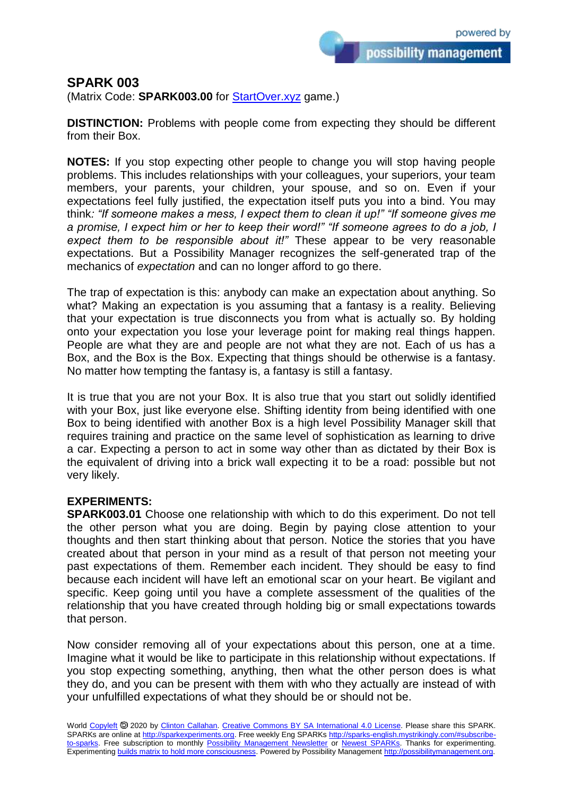possibility management

## **SPARK 003**

(Matrix Code: **SPARK003.00** for [StartOver.xyz](https://startoverxyz.mystrikingly.com/) game.)

**DISTINCTION:** Problems with people come from expecting they should be different from their Box.

**NOTES:** If you stop expecting other people to change you will stop having people problems. This includes relationships with your colleagues, your superiors, your team members, your parents, your children, your spouse, and so on. Even if your expectations feel fully justified, the expectation itself puts you into a bind. You may think*: "If someone makes a mess, I expect them to clean it up!" "If someone gives me a promise, I expect him or her to keep their word!" "If someone agrees to do a job, I expect them to be responsible about it!"* These appear to be very reasonable expectations. But a Possibility Manager recognizes the self-generated trap of the mechanics of *expectation* and can no longer afford to go there.

The trap of expectation is this: anybody can make an expectation about anything. So what? Making an expectation is you assuming that a fantasy is a reality. Believing that your expectation is true disconnects you from what is actually so. By holding onto your expectation you lose your leverage point for making real things happen. People are what they are and people are not what they are not. Each of us has a Box, and the Box is the Box. Expecting that things should be otherwise is a fantasy. No matter how tempting the fantasy is, a fantasy is still a fantasy.

It is true that you are not your Box. It is also true that you start out solidly identified with your Box, just like everyone else. Shifting identity from being identified with one Box to being identified with another Box is a high level Possibility Manager skill that requires training and practice on the same level of sophistication as learning to drive a car. Expecting a person to act in some way other than as dictated by their Box is the equivalent of driving into a brick wall expecting it to be a road: possible but not very likely.

## **EXPERIMENTS:**

**SPARK003.01** Choose one relationship with which to do this experiment. Do not tell the other person what you are doing. Begin by paying close attention to your thoughts and then start thinking about that person. Notice the stories that you have created about that person in your mind as a result of that person not meeting your past expectations of them. Remember each incident. They should be easy to find because each incident will have left an emotional scar on your heart. Be vigilant and specific. Keep going until you have a complete assessment of the qualities of the relationship that you have created through holding big or small expectations towards that person.

Now consider removing all of your expectations about this person, one at a time. Imagine what it would be like to participate in this relationship without expectations. If you stop expecting something, anything, then what the other person does is what they do, and you can be present with them with who they actually are instead of with your unfulfilled expectations of what they should be or should not be.